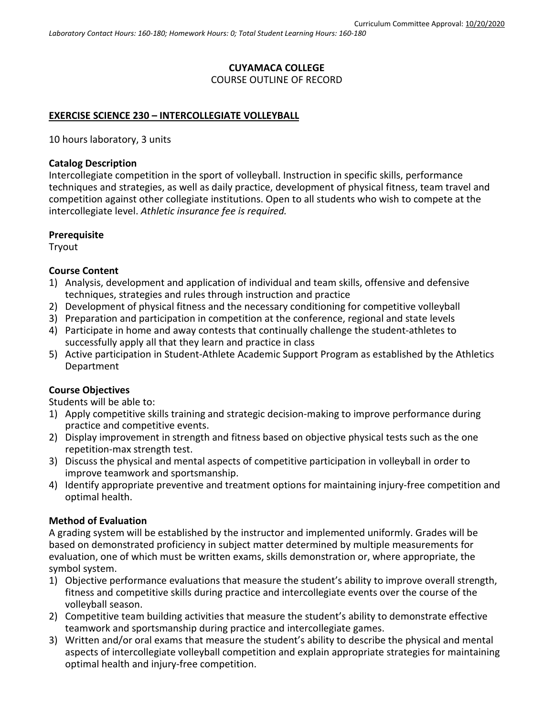# **CUYAMACA COLLEGE** COURSE OUTLINE OF RECORD

### **EXERCISE SCIENCE 230 – INTERCOLLEGIATE VOLLEYBALL**

10 hours laboratory, 3 units

#### **Catalog Description**

Intercollegiate competition in the sport of volleyball. Instruction in specific skills, performance techniques and strategies, as well as daily practice, development of physical fitness, team travel and competition against other collegiate institutions. Open to all students who wish to compete at the intercollegiate level. *Athletic insurance fee is required.*

#### **Prerequisite**

Tryout

### **Course Content**

- 1) Analysis, development and application of individual and team skills, offensive and defensive techniques, strategies and rules through instruction and practice
- 2) Development of physical fitness and the necessary conditioning for competitive volleyball
- 3) Preparation and participation in competition at the conference, regional and state levels
- 4) Participate in home and away contests that continually challenge the student-athletes to successfully apply all that they learn and practice in class
- 5) Active participation in Student-Athlete Academic Support Program as established by the Athletics Department

# **Course Objectives**

Students will be able to:

- 1) Apply competitive skills training and strategic decision-making to improve performance during practice and competitive events.
- 2) Display improvement in strength and fitness based on objective physical tests such as the one repetition-max strength test.
- 3) Discuss the physical and mental aspects of competitive participation in volleyball in order to improve teamwork and sportsmanship.
- 4) Identify appropriate preventive and treatment options for maintaining injury-free competition and optimal health.

# **Method of Evaluation**

A grading system will be established by the instructor and implemented uniformly. Grades will be based on demonstrated proficiency in subject matter determined by multiple measurements for evaluation, one of which must be written exams, skills demonstration or, where appropriate, the symbol system.

- 1) Objective performance evaluations that measure the student's ability to improve overall strength, fitness and competitive skills during practice and intercollegiate events over the course of the volleyball season.
- 2) Competitive team building activities that measure the student's ability to demonstrate effective teamwork and sportsmanship during practice and intercollegiate games.
- 3) Written and/or oral exams that measure the student's ability to describe the physical and mental aspects of intercollegiate volleyball competition and explain appropriate strategies for maintaining optimal health and injury-free competition.